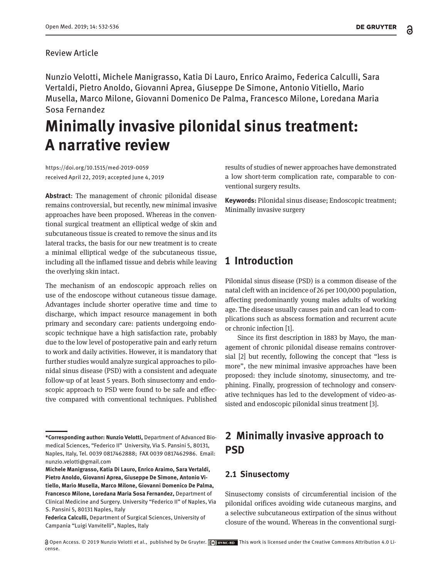#### Review Article

Nunzio Velotti, Michele Manigrasso, Katia Di Lauro, Enrico Araimo, Federica Calculli, Sara Vertaldi, Pietro Anoldo, Giovanni Aprea, Giuseppe De Simone, Antonio Vitiello, Mario Musella, Marco Milone, Giovanni Domenico De Palma, Francesco Milone, Loredana Maria Sosa Fernandez

# **Minimally invasive pilonidal sinus treatment: A narrative review**

https://doi.org/10.1515/med-2019-0059 received April 22, 2019; accepted June 4, 2019

**Abstract**: The management of chronic pilonidal disease remains controversial, but recently, new minimal invasive approaches have been proposed. Whereas in the conventional surgical treatment an elliptical wedge of skin and subcutaneous tissue is created to remove the sinus and its lateral tracks, the basis for our new treatment is to create a minimal elliptical wedge of the subcutaneous tissue, including all the inflamed tissue and debris while leaving the overlying skin intact.

The mechanism of an endoscopic approach relies on use of the endoscope without cutaneous tissue damage. Advantages include shorter operative time and time to discharge, which impact resource management in both primary and secondary care: patients undergoing endoscopic technique have a high satisfaction rate, probably due to the low level of postoperative pain and early return to work and daily activities. However, it is mandatory that further studies would analyze surgical approaches to pilonidal sinus disease (PSD) with a consistent and adequate follow-up of at least 5 years. Both sinusectomy and endoscopic approach to PSD were found to be safe and effective compared with conventional techniques. Published

results of studies of newer approaches have demonstrated a low short-term complication rate, comparable to conventional surgery results.

**Keywords:** Pilonidal sinus disease; Endoscopic treatment; Minimally invasive surgery

## **1 Introduction**

Pilonidal sinus disease (PSD) is a common disease of the natal cleft with an incidence of 26 per 100,000 population, affecting predominantly young males adults of working age. The disease usually causes pain and can lead to complications such as abscess formation and recurrent acute or chronic infection [1].

Since its first description in 1883 by Mayo, the management of chronic pilonidal disease remains controversial [2] but recently, following the concept that "less is more", the new minimal invasive approaches have been proposed: they include sinotomy, sinusectomy, and trephining. Finally, progression of technology and conservative techniques has led to the development of video-assisted and endoscopic pilonidal sinus treatment [3].

# **2 Minimally invasive approach to PSD**

## **2.1 Sinusectomy**

Sinusectomy consists of circumferential incision of the pilonidal orifices avoiding wide cutaneous margins, and a selective subcutaneous extirpation of the sinus without closure of the wound. Whereas in the conventional surgi-

**<sup>\*</sup>Corresponding author: Nunzio Velotti,** Department of Advanced Biomedical Sciences, "Federico II" University, Via S. Pansini 5, 80131, Naples, Italy, Tel. 0039 0817462888; FAX 0039 0817462986. Email: nunzio.velotti@gmail.com

**Michele Manigrasso, Katia Di Lauro, Enrico Araimo, Sara Vertaldi, Pietro Anoldo, Giovanni Aprea, Giuseppe De Simone, Antonio Vitiello, Mario Musella, Marco Milone, Giovanni Domenico De Palma, Francesco Milone, Loredana Maria Sosa Fernandez,** Department of Clinical Medicine and Surgery. University "Federico II" of Naples, Via S. Pansini 5, 80131 Naples, Italy

**Federica Calculli,** Department of Surgical Sciences, University of Campania "Luigi Vanvitelli", Naples, Italy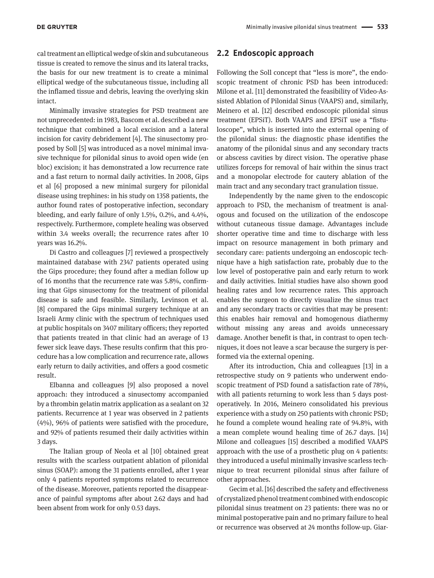cal treatment an elliptical wedge of skin and subcutaneous tissue is created to remove the sinus and its lateral tracks, the basis for our new treatment is to create a minimal elliptical wedge of the subcutaneous tissue, including all the inflamed tissue and debris, leaving the overlying skin intact.

Minimally invasive strategies for PSD treatment are not unprecedented: in 1983, Bascom et al. described a new technique that combined a local excision and a lateral incision for cavity debridement [4]. The sinusectomy proposed by Soll [5] was introduced as a novel minimal invasive technique for pilonidal sinus to avoid open wide (en bloc) excision; it has demonstrated a low recurrence rate and a fast return to normal daily activities. In 2008, Gips et al [6] proposed a new minimal surgery for pilonidal disease using trephines: in his study on 1358 patients, the author found rates of postoperative infection, secondary bleeding, and early failure of only 1.5%, 0.2%, and 4.4%, respectively. Furthermore, complete healing was observed within 3.4 weeks overall; the recurrence rates after 10 years was 16.2%.

Di Castro and colleagues [7] reviewed a prospectively maintained database with 2347 patients operated using the Gips procedure; they found after a median follow up of 16 months that the recurrence rate was 5.8%, confirming that Gips sinusectomy for the treatment of pilonidal disease is safe and feasible. Similarly, Levinson et al. [8] compared the Gips minimal surgery technique at an Israeli Army clinic with the spectrum of techniques used at public hospitals on 3407 military officers; they reported that patients treated in that clinic had an average of 13 fewer sick leave days. These results confirm that this procedure has a low complication and recurrence rate, allows early return to daily activities, and offers a good cosmetic result.

Elbanna and colleagues [9] also proposed a novel approach: they introduced a sinusectomy accompanied by a thrombin gelatin matrix application as a sealant on 32 patients. Recurrence at 1 year was observed in 2 patients (4%), 96% of patients were satisfied with the procedure, and 92% of patients resumed their daily activities within 3 days.

The Italian group of Neola et al [10] obtained great results with the scarless outpatient ablation of pilonidal sinus (SOAP): among the 31 patients enrolled, after 1 year only 4 patients reported symptoms related to recurrence of the disease. Moreover, patients reported the disappearance of painful symptoms after about 2.62 days and had been absent from work for only 0.53 days.

#### **2.2 Endoscopic approach**

Following the Soll concept that "less is more", the endoscopic treatment of chronic PSD has been introduced: Milone et al. [11] demonstrated the feasibility of Video-Assisted Ablation of Pilonidal Sinus (VAAPS) and, similarly, Meinero et al. [12] described endoscopic pilonidal sinus treatment (EPSiT). Both VAAPS and EPSiT use a "fistuloscope", which is inserted into the external opening of the pilonidal sinus: the diagnostic phase identifies the anatomy of the pilonidal sinus and any secondary tracts or abscess cavities by direct vision. The operative phase utilizes forceps for removal of hair within the sinus tract and a monopolar electrode for cautery ablation of the main tract and any secondary tract granulation tissue.

Independently by the name given to the endoscopic approach to PSD, the mechanism of treatment is analogous and focused on the utilization of the endoscope without cutaneous tissue damage. Advantages include shorter operative time and time to discharge with less impact on resource management in both primary and secondary care: patients undergoing an endoscopic technique have a high satisfaction rate, probably due to the low level of postoperative pain and early return to work and daily activities. Initial studies have also shown good healing rates and low recurrence rates. This approach enables the surgeon to directly visualize the sinus tract and any secondary tracts or cavities that may be present: this enables hair removal and homogenous diathermy without missing any areas and avoids unnecessary damage. Another benefit is that, in contrast to open techniques, it does not leave a scar because the surgery is performed via the external opening.

After its introduction, Chia and colleagues [13] in a retrospective study on 9 patients who underwent endoscopic treatment of PSD found a satisfaction rate of 78%, with all patients returning to work less than 5 days postoperatively. In 2016, Meinero consolidated his previous experience with a study on 250 patients with chronic PSD; he found a complete wound healing rate of 94.8%, with a mean complete wound healing time of 26.7 days. [14] Milone and colleagues [15] described a modified VAAPS approach with the use of a prosthetic plug on 4 patients: they introduced a useful minimally invasive scarless technique to treat recurrent pilonidal sinus after failure of other approaches.

Gecim et al. [16] described the safety and effectiveness of crystalized phenol treatment combined with endoscopic pilonidal sinus treatment on 23 patients: there was no or minimal postoperative pain and no primary failure to heal or recurrence was observed at 24 months follow-up. Giar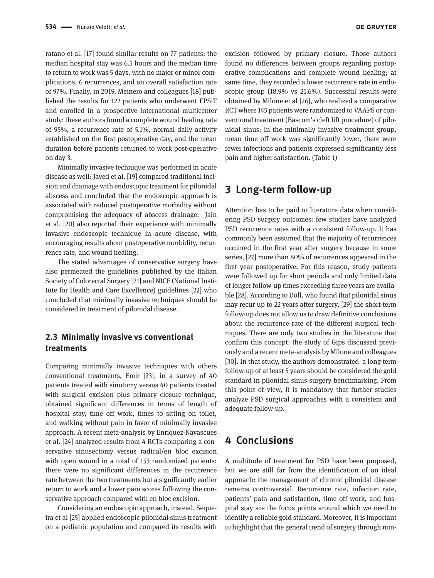ratano et al. [17] found similar results on 77 patients: the median hospital stay was 6.5 hours and the median time to return to work was 5 days, with no major or minor complications, 6 recurrences, and an overall satisfaction rate of 97%. Finally, in 2019, Meinero and colleagues [18] published the results for 122 patients who underwent EPSiT and enrolled in a prospective international multicenter study: these authors found a complete wound healing rate of 95%, a recurrence rate of 5.1%, normal daily activity established on the first postoperative day, and the mean duration before patients returned to work post-operative on day 3.

Minimally invasive technique was performed in acute disease as well: Javed et al. [19] compared traditional incision and drainage with endoscopic treatment for pilonidal abscess and concluded that the endoscopic approach is associated with reduced postoperative morbidity without compromising the adequacy of abscess drainage. Jain et al. [20] also reported their experience with minimally invasive endoscopic technique in acute disease, with encouraging results about postoperative morbidity, recurrence rate, and wound healing.

The stated advantages of conservative surgery have also permeated the guidelines published by the Italian Society of Colorectal Surgery [21] and NICE (National Institute for Health and Care Excellence) guidelines [22] who concluded that minimally invasive techniques should be considered in treatment of pilonidal disease.

## **2.3 Minimally invasive vs conventional treatments**

Comparing minimally invasive techniques with others conventional treatments, Emir [23], in a survey of 40 patients treated with sinotomy versus 40 patients treated with surgical excision plus primary closure technique, obtained significant differences in terms of length of hospital stay, time off work, times to sitting on toilet, and walking without pain in favor of minimally invasive approach. A recent meta-analysis by Enriquez-Navascues et al. [24] analyzed results from 4 RCTs comparing a conservative sinusectomy versus radical/en bloc excision with open wound in a total of 153 randomized patients: there were no significant differences in the recurrence rate between the two treatments but a significantly earlier return to work and a lower pain scores following the conservative approach compared with en bloc excision.

Considering an endoscopic approach, instead, Sequeira et al [25] applied endoscopic pilonidal sinus treatment on a pediatric population and compared its results with

excision followed by primary closure. Those authors found no differences between groups regarding postoperative complications and complete wound healing; at same time, they recorded a lower recurrence rate in endoscopic group (18.9% vs 21.6%). Successful results were obtained by Milone et al [26], who realized a comparative RCT where 145 patients were randomized to VAAPS or conventional treatment (Bascom's cleft lift procedure) of pilonidal sinus: in the minimally invasive treatment group, mean time off work was significantly lower, there were fewer infections and patients expressed significantly less pain and higher satisfaction. (Table 1)

## **3 Long-term follow-up**

Attention has to be paid to literature data when considering PSD surgery outcomes: few studies have analyzed PSD recurrence rates with a consistent follow-up. It has commonly been assumed that the majority of recurrences occurred in the first year after surgery because in some series, [27] more than 80% of recurrences appeared in the first year postoperative. For this reason, study patients were followed up for short periods and only limited data of longer follow-up times exceeding three years are available [28]. According to Doll, who found that pilonidal sinus may recur up to 22 years after surgery, [29] the short-term follow-up does not allow us to draw definitive conclusions about the recurrence rate of the different surgical techniques. There are only two studies in the literature that confirm this concept: the study of Gips discussed previously and a recent meta-analysis by Milone and colleagues [30]. In that study, the authors demonstrated a long-term follow-up of at least 5 years should be considered the gold standard in pilonidal sinus surgery benchmarking. From this point of view, it is mandatory that further studies analyze PSD surgical approaches with a consistent and adequate follow-up.

## **4 Conclusions**

A multitude of treatment for PSD have been proposed, but we are still far from the identification of an ideal approach: the management of chronic pilonidal disease remains controversial. Recurrence rate, infection rate, patients' pain and satisfaction, time off work, and hospital stay are the focus points around which we need to identify a reliable gold standard. Moreover, it is important to highlight that the general trend of surgery through min-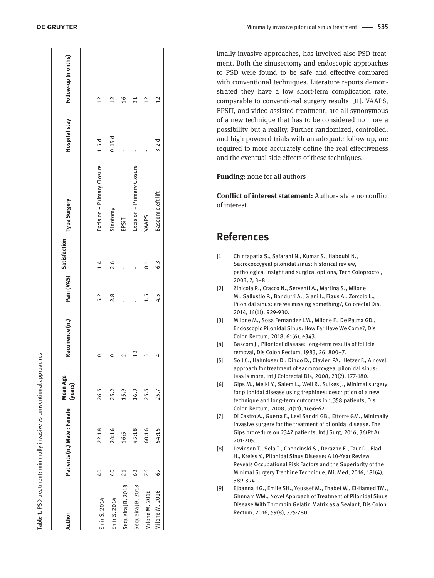| Author            |                 | Patients (n.) Male : Female | Mean Age<br>(years) | Recurrence (n.) Pain (VAS) Satisfaction Type Surgery |     |           |                            |       | Hospital stay Follow-up (months) |
|-------------------|-----------------|-----------------------------|---------------------|------------------------------------------------------|-----|-----------|----------------------------|-------|----------------------------------|
| Emir S. 2014      | $^{40}$         | 22:18                       | 26.5                |                                                      | 5.2 | 1.4       | Excision + Primary Closure | 1.5d  | 12                               |
| Emir S. 2014      | $^{40}$         | 24:16                       | 25.2                |                                                      | 2.8 | 2.6       | Sinotomy                   | 0.15d | $^{12}$                          |
| Sequeira JB. 2018 | $\overline{21}$ | 16:5                        | 15.9                |                                                      |     |           | EPSIT                      |       | $\frac{6}{2}$                    |
| Sequeira JB. 2018 | 63              | 45:18                       | 16.3                |                                                      |     |           | Excision + Primary Closure |       | $\overline{31}$                  |
| Milone M. 2016    | 76              | 60:16                       | 25.5                |                                                      | 1.5 | $\approx$ | VAAPS                      |       | $\overline{2}$                   |
| Milone M. 2016    | $\frac{69}{5}$  | 54:15                       | 25.7                |                                                      | 4.5 | 6.3       | Bascom cleft lift          | 3.2d  | 12                               |

imally invasive approaches, has involved also PSD treat ment. Both the sinusectomy and endoscopic approaches to PSD were found to be safe and effective compared with conventional techniques. Literature reports demon strated they have a low short-term complication rate, comparable to conventional surgery results [31]. VAAPS, EPSiT, and video-assisted treatment, are all synonymous of a new technique that has to be considered no more a possibility but a reality. Further randomized, controlled, and high-powered trials with an adequate follow-up, are required to more accurately define the real effectiveness and the eventual side effects of these techniques.

#### **Funding:** none for all authors

**Conflict of interest statement:** Authors state no conflict of interest

## **References**

- [1] Chintapatla S., Safarani N., Kumar S., Haboubi N., Sacrococcygeal pilonidal sinus: historical review, pathological insight and surgical options, Tech Coloproctol, 2003, 7, 3–8
- [2] Zinicola R., Cracco N., Serventi A., Martina S., Milone M., Sallustio P., Bondurri A., Giani I., Figus A., Zorcolo L., Pilonidal sinus: are we missing something?, Colorectal Dis, 2014, 16(11), 929-930.
- [3] Milone M., Sosa Fernandez LM., Milone F., De Palma GD., Endoscopic Pilonidal Sinus: How Far Have We Come?, Dis Colon Rectum, 2018, 61(6), e343.
- [4] Bascom J., Pilonidal disease: long-term results of follicle removal, Dis Colon Rectum, 1983, 26, 800–7.
- [5] Soll C., Hahnloser D., Dindo D., Clavien PA., Hetzer F., A novel approach for treatment of sacrococcygeal pilonidal sinus: less is more, Int J Colorectal Dis, 2008, 23(2), 177-180.
- [6] Gips M., Melki Y., Salem L., Weil R., Sulkes J., Minimal surgery for pilonidal disease using trephines: description of a new technique and long-term outcomes in 1,358 patients, Dis Colon Rectum, 2008, 51(11), 1656-62
- [7] Di Castro A., Guerra F., Levi Sandri GB., Ettorre GM., Minimally invasive surgery for the treatment of pilonidal disease. The Gips procedure on 2347 patients, Int J Surg, 2016, 36(Pt A), 201-205.
- [8] Levinson T., Sela T., Chencinski S., Derazne E., Tzur D., Elad H., Kreiss Y., Pilonidal Sinus Disease: A 10-Year Review Reveals Occupational Risk Factors and the Superiority of the Minimal Surgery Trephine Technique, Mil Med, 2016, 181(4), 389-394.
- [9] Elbanna HG., Emile SH., Youssef M., Thabet W., El-Hamed TM., Ghnnam WM., Novel Approach of Treatment of Pilonidal Sinus Disease With Thrombin Gelatin Matrix as a Sealant, Dis Colon Rectum, 2016, 59(8), 775-780.

**Table 1**. PSD treatment: minimally invasive vs conventional approaches

Table 1. PSD treatment: minimally invasive vs conventional approaches